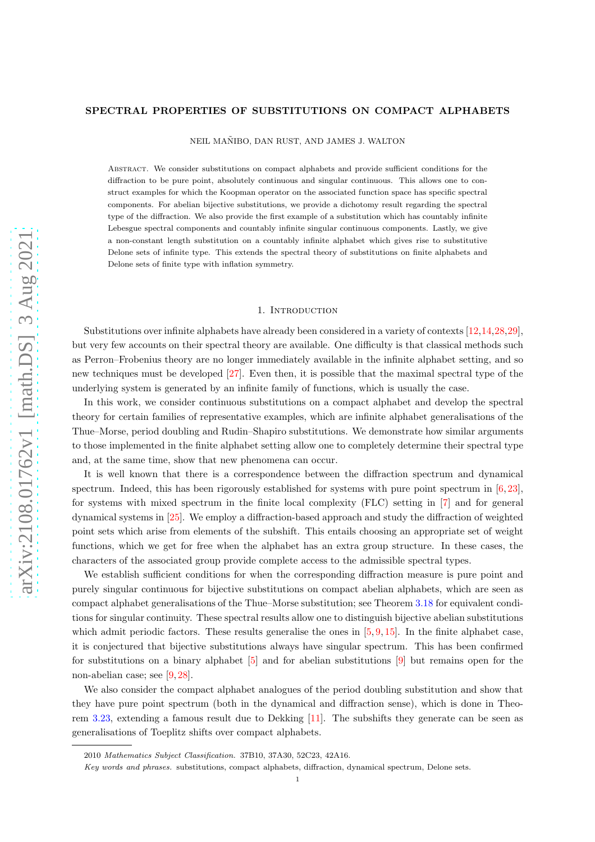# SPECTRAL PROPERTIES OF SUBSTITUTIONS ON COMPACT ALPHABETS

NEIL MAÑIBO, DAN RUST, AND JAMES J. WALTON

Abstract. We consider substitutions on compact alphabets and provide sufficient conditions for the diffraction to be pure point, absolutely continuous and singular continuous. This allows one to construct examples for which the Koopman operator on the associated function space has specific spectral components. For abelian bijective substitutions, we provide a dichotomy result regarding the spectral type of the diffraction. We also provide the first example of a substitution which has countably infinite Lebesgue spectral components and countably infinite singular continuous components. Lastly, we give a non-constant length substitution on a countably infinite alphabet which gives rise to substitutive Delone sets of infinite type. This extends the spectral theory of substitutions on finite alphabets and Delone sets of finite type with inflation symmetry.

## 1. Introduction

Substitutions over infinite alphabets have already been considered in a variety of contexts [\[12,](#page-12-0)[14,](#page-12-1)[28,](#page-13-0)[29\]](#page-13-1), but very few accounts on their spectral theory are available. One difficulty is that classical methods such as Perron–Frobenius theory are no longer immediately available in the infinite alphabet setting, and so new techniques must be developed [\[27\]](#page-13-2). Even then, it is possible that the maximal spectral type of the underlying system is generated by an infinite family of functions, which is usually the case.

In this work, we consider continuous substitutions on a compact alphabet and develop the spectral theory for certain families of representative examples, which are infinite alphabet generalisations of the Thue–Morse, period doubling and Rudin–Shapiro substitutions. We demonstrate how similar arguments to those implemented in the finite alphabet setting allow one to completely determine their spectral type and, at the same time, show that new phenomena can occur.

It is well known that there is a correspondence between the diffraction spectrum and dynamical spectrum. Indeed, this has been rigorously established for systems with pure point spectrum in [\[6,](#page-12-2) [23\]](#page-13-3), for systems with mixed spectrum in the finite local complexity (FLC) setting in [\[7\]](#page-12-3) and for general dynamical systems in [\[25\]](#page-13-4). We employ a diffraction-based approach and study the diffraction of weighted point sets which arise from elements of the subshift. This entails choosing an appropriate set of weight functions, which we get for free when the alphabet has an extra group structure. In these cases, the characters of the associated group provide complete access to the admissible spectral types.

We establish sufficient conditions for when the corresponding diffraction measure is pure point and purely singular continuous for bijective substitutions on compact abelian alphabets, which are seen as compact alphabet generalisations of the Thue–Morse substitution; see Theorem [3.18](#page-7-0) for equivalent conditions for singular continuity. These spectral results allow one to distinguish bijective abelian substitutions which admit periodic factors. These results generalise the ones in  $[5, 9, 15]$  $[5, 9, 15]$  $[5, 9, 15]$  $[5, 9, 15]$ . In the finite alphabet case, it is conjectured that bijective substitutions always have singular spectrum. This has been confirmed for substitutions on a binary alphabet [\[5\]](#page-12-4) and for abelian substitutions [\[9\]](#page-12-5) but remains open for the non-abelian case; see [\[9,](#page-12-5) [28\]](#page-13-0).

We also consider the compact alphabet analogues of the period doubling substitution and show that they have pure point spectrum (both in the dynamical and diffraction sense), which is done in Theorem [3.23,](#page-9-0) extending a famous result due to Dekking [\[11\]](#page-12-7). The subshifts they generate can be seen as generalisations of Toeplitz shifts over compact alphabets.

<sup>2010</sup> Mathematics Subject Classification. 37B10, 37A30, 52C23, 42A16.

Key words and phrases. substitutions, compact alphabets, diffraction, dynamical spectrum, Delone sets.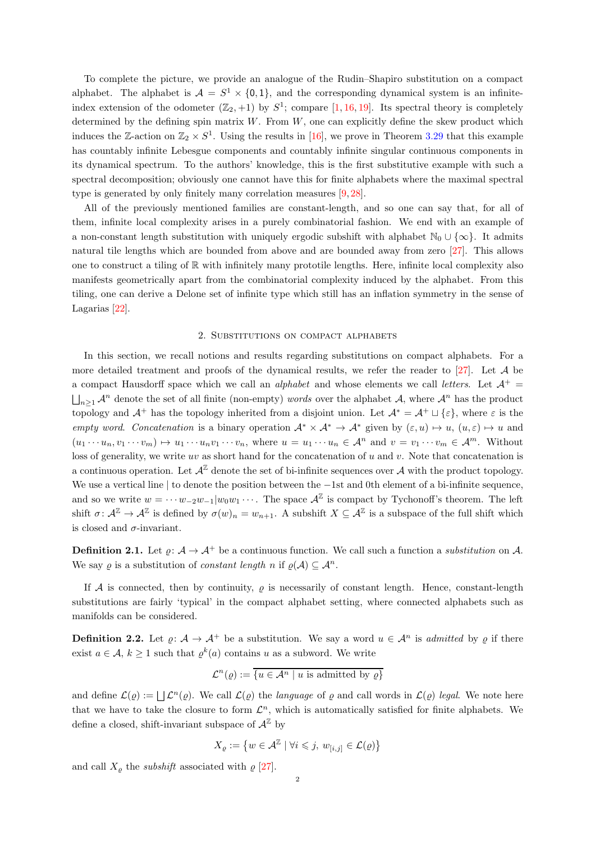To complete the picture, we provide an analogue of the Rudin–Shapiro substitution on a compact alphabet. The alphabet is  $A = S^1 \times \{0, 1\}$ , and the corresponding dynamical system is an infiniteindex extension of the odometer  $(\mathbb{Z}_2, +1)$  by  $S^1$ ; compare [\[1,](#page-12-8) [16,](#page-12-9) [19\]](#page-13-5). Its spectral theory is completely determined by the defining spin matrix  $W$ . From  $W$ , one can explicitly define the skew product which induces the Z-action on  $\mathbb{Z}_2 \times S^1$ . Using the results in [\[16\]](#page-12-9), we prove in Theorem [3.29](#page-11-0) that this example has countably infinite Lebesgue components and countably infinite singular continuous components in its dynamical spectrum. To the authors' knowledge, this is the first substitutive example with such a spectral decomposition; obviously one cannot have this for finite alphabets where the maximal spectral type is generated by only finitely many correlation measures [\[9,](#page-12-5) [28\]](#page-13-0).

All of the previously mentioned families are constant-length, and so one can say that, for all of them, infinite local complexity arises in a purely combinatorial fashion. We end with an example of a non-constant length substitution with uniquely ergodic subshift with alphabet  $\mathbb{N}_0 \cup \{\infty\}$ . It admits natural tile lengths which are bounded from above and are bounded away from zero [\[27\]](#page-13-2). This allows one to construct a tiling of R with infinitely many prototile lengths. Here, infinite local complexity also manifests geometrically apart from the combinatorial complexity induced by the alphabet. From this tiling, one can derive a Delone set of infinite type which still has an inflation symmetry in the sense of Lagarias [\[22\]](#page-13-6).

## 2. Substitutions on compact alphabets

In this section, we recall notions and results regarding substitutions on compact alphabets. For a more detailed treatment and proofs of the dynamical results, we refer the reader to [\[27\]](#page-13-2). Let A be a compact Hausdorff space which we call an *alphabet* and whose elements we call *letters*. Let  $\mathcal{A}^+$  $\bigsqcup_{n\geq 1} A^n$  denote the set of all finite (non-empty) words over the alphabet A, where  $A^n$  has the product topology and  $\mathcal{A}^+$  has the topology inherited from a disjoint union. Let  $\mathcal{A}^* = \mathcal{A}^+ \sqcup \{\varepsilon\}$ , where  $\varepsilon$  is the empty word. Concatenation is a binary operation  $\mathcal{A}^* \times \mathcal{A}^* \to \mathcal{A}^*$  given by  $(\varepsilon, u) \mapsto u$ ,  $(u, \varepsilon) \mapsto u$  and  $(u_1 \cdots u_n, v_1 \cdots v_m) \mapsto u_1 \cdots u_n v_1 \cdots v_n$ , where  $u = u_1 \cdots u_n \in \mathcal{A}^n$  and  $v = v_1 \cdots v_m \in \mathcal{A}^m$ . Without loss of generality, we write uv as short hand for the concatenation of u and v. Note that concatenation is a continuous operation. Let  $\mathcal{A}^{\mathbb{Z}}$  denote the set of bi-infinite sequences over  $\mathcal{A}$  with the product topology. We use a vertical line | to denote the position between the −1st and 0th element of a bi-infinite sequence, and so we write  $w = \cdots w_{-2}w_{-1}|w_0w_1\cdots$ . The space  $\mathcal{A}^{\mathbb{Z}}$  is compact by Tychonoff's theorem. The left shift  $\sigma: \mathcal{A}^{\mathbb{Z}} \to \mathcal{A}^{\mathbb{Z}}$  is defined by  $\sigma(w)_n = w_{n+1}$ . A subshift  $X \subseteq \mathcal{A}^{\mathbb{Z}}$  is a subspace of the full shift which is closed and  $\sigma$ -invariant.

**Definition 2.1.** Let  $\varrho: A \to A^+$  be a continuous function. We call such a function a substitution on A. We say  $\rho$  is a substitution of *constant length* n if  $\rho(\mathcal{A}) \subseteq \mathcal{A}^n$ .

If A is connected, then by continuity,  $\rho$  is necessarily of constant length. Hence, constant-length substitutions are fairly 'typical' in the compact alphabet setting, where connected alphabets such as manifolds can be considered.

**Definition 2.2.** Let  $\varrho: A \to A^+$  be a substitution. We say a word  $u \in A^n$  is *admitted* by  $\varrho$  if there exist  $a \in \mathcal{A}, k \ge 1$  such that  $\varrho^k(a)$  contains u as a subword. We write

$$
\mathcal{L}^n(\varrho) := \overline{\{u \in \mathcal{A}^n \mid u \text{ is admitted by } \varrho\}}
$$

and define  $\mathcal{L}(\varrho) := \bigsqcup \mathcal{L}^n(\varrho)$ . We call  $\mathcal{L}(\varrho)$  the language of  $\varrho$  and call words in  $\mathcal{L}(\varrho)$  legal. We note here that we have to take the closure to form  $\mathcal{L}^n$ , which is automatically satisfied for finite alphabets. We define a closed, shift-invariant subspace of  $\mathcal{A}^{\mathbb{Z}}$  by

$$
X_{\varrho}:=\left\{w\in \mathcal{A}^{\mathbb{Z}}\mid \forall i\leqslant j,\, w_{[i,j]}\in\mathcal{L}(\varrho)\right\}
$$

and call  $X_{\varrho}$  the *subshift* associated with  $\varrho$  [\[27\]](#page-13-2).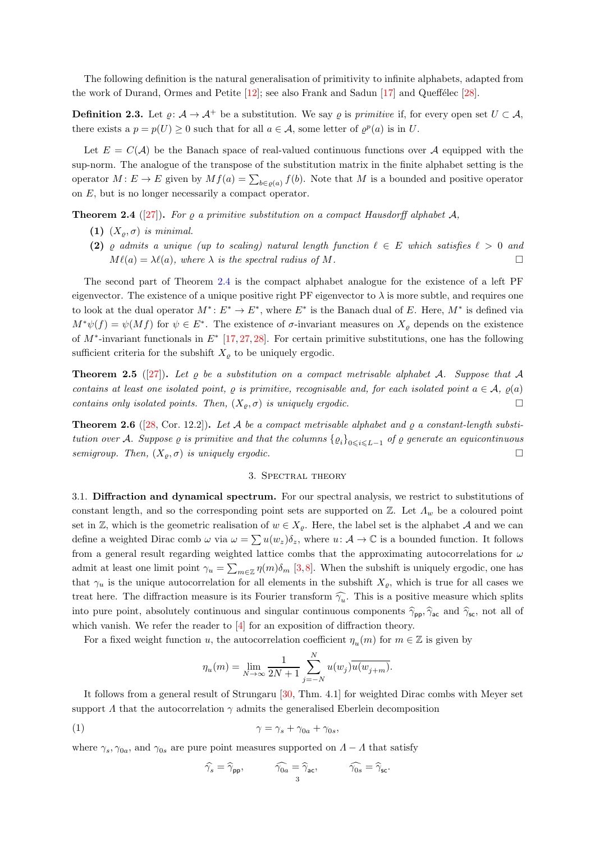The following definition is the natural generalisation of primitivity to infinite alphabets, adapted from the work of Durand, Ormes and Petite  $[12]$ ; see also Frank and Sadun  $[17]$  and Queffélec  $[28]$ .

**Definition 2.3.** Let  $\rho: \mathcal{A} \to \mathcal{A}^+$  be a substitution. We say  $\rho$  is primitive if, for every open set  $U \subset \mathcal{A}$ , there exists a  $p = p(U) \ge 0$  such that for all  $a \in \mathcal{A}$ , some letter of  $\varrho^p(a)$  is in U.

Let  $E = C(\mathcal{A})$  be the Banach space of real-valued continuous functions over A equipped with the sup-norm. The analogue of the transpose of the substitution matrix in the finite alphabet setting is the operator  $M \colon E \to E$  given by  $Mf(a) = \sum_{b \in \varrho(a)} f(b)$ . Note that M is a bounded and positive operator on E, but is no longer necessarily a compact operator.

<span id="page-2-0"></span>**Theorem 2.4** ([\[27\]](#page-13-2)). For  $\rho$  a primitive substitution on a compact Hausdorff alphabet  $\mathcal{A}$ ,

- (1)  $(X_{\rho}, \sigma)$  is minimal.
- (2)  $\varrho$  admits a unique (up to scaling) natural length function  $\ell \in E$  which satisfies  $\ell > 0$  and  $M\ell(a) = \lambda\ell(a)$ , where  $\lambda$  is the spectral radius of M.

The second part of Theorem [2.4](#page-2-0) is the compact alphabet analogue for the existence of a left PF eigenvector. The existence of a unique positive right PF eigenvector to  $\lambda$  is more subtle, and requires one to look at the dual operator  $M^*$ :  $E^* \to E^*$ , where  $E^*$  is the Banach dual of E. Here,  $M^*$  is defined via  $M^*\psi(f) = \psi(Mf)$  for  $\psi \in E^*$ . The existence of  $\sigma$ -invariant measures on  $X_{\varrho}$  depends on the existence of M<sup>∗</sup> -invariant functionals in E<sup>∗</sup> [\[17,](#page-12-10) [27,](#page-13-2) [28\]](#page-13-0). For certain primitive substitutions, one has the following sufficient criteria for the subshift  $X_{\varrho}$  to be uniquely ergodic.

<span id="page-2-3"></span>**Theorem 2.5** ([\[27\]](#page-13-2)). Let  $\rho$  be a substitution on a compact metrisable alphabet A. Suppose that A contains at least one isolated point,  $\rho$  is primitive, recognisable and, for each isolated point  $a \in \mathcal{A}$ ,  $\rho(a)$ contains only isolated points. Then,  $(X_{\rho}, \sigma)$  is uniquely ergodic.

<span id="page-2-2"></span>**Theorem 2.6** ([\[28,](#page-13-0) Cor. 12.2]). Let A be a compact metrisable alphabet and  $\rho$  a constant-length substitution over A. Suppose  $\varrho$  is primitive and that the columns  $\{\varrho_i\}_{0\leqslant i\leqslant L-1}$  of  $\varrho$  generate an equicontinuous semigroup. Then,  $(X_{\rho}, \sigma)$  is uniquely ergodic.

## 3. Spectral theory

3.1. Diffraction and dynamical spectrum. For our spectral analysis, we restrict to substitutions of constant length, and so the corresponding point sets are supported on  $\mathbb{Z}$ . Let  $\Lambda_w$  be a coloured point set in Z, which is the geometric realisation of  $w \in X_{\varrho}$ . Here, the label set is the alphabet A and we can define a weighted Dirac comb  $\omega$  via  $\omega = \sum u(w_z)\delta_z$ , where  $u: \mathcal{A} \to \mathbb{C}$  is a bounded function. It follows from a general result regarding weighted lattice combs that the approximating autocorrelations for  $\omega$ admit at least one limit point  $\gamma_u = \sum_{m \in \mathbb{Z}} \eta(m) \delta_m$  [\[3,](#page-12-11)[8\]](#page-12-12). When the subshift is uniquely ergodic, one has that  $\gamma_u$  is the unique autocorrelation for all elements in the subshift  $X_{\varrho}$ , which is true for all cases we treat here. The diffraction measure is its Fourier transform  $\widehat{\gamma_u}$ . This is a positive measure which splits into pure point, absolutely continuous and singular continuous components  $\hat{\gamma}_{\text{pp}}, \hat{\gamma}_{\text{ac}}$  and  $\hat{\gamma}_{\text{sc}}$ , not all of which vanish. We refer the reader to  $\left[4\right]$  for an exposition of diffraction theory.

For a fixed weight function u, the autocorrelation coefficient  $\eta_u(m)$  for  $m \in \mathbb{Z}$  is given by

$$
\eta_u(m) = \lim_{N \to \infty} \frac{1}{2N+1} \sum_{j=-N}^{N} u(w_j) \overline{u(w_{j+m})}.
$$

It follows from a general result of Strungaru [\[30,](#page-13-7) Thm. 4.1] for weighted Dirac combs with Meyer set support  $\Lambda$  that the autocorrelation  $\gamma$  admits the generalised Eberlein decomposition

$$
\gamma = \gamma_s + \gamma_{0a} + \gamma_{0s},
$$

where  $\gamma_s, \gamma_{0a}$ , and  $\gamma_{0s}$  are pure point measures supported on  $\Lambda - \Lambda$  that satisfy

<span id="page-2-1"></span>
$$
\widehat{\gamma_s} = \widehat{\gamma}_{\mathsf{pp}}, \qquad \quad \widehat{\gamma_{0a}} = \widehat{\gamma}_{\mathsf{ac}}, \qquad \quad \widehat{\gamma_{0s}} = \widehat{\gamma}_{\mathsf{sc}}.
$$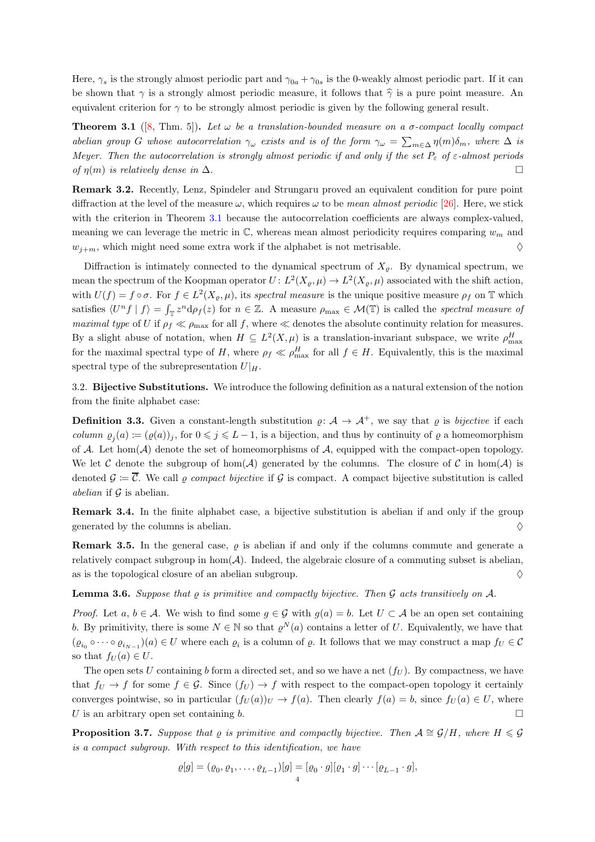Here,  $\gamma_s$  is the strongly almost periodic part and  $\gamma_{0a} + \gamma_{0s}$  is the 0-weakly almost periodic part. If it can be shown that  $\gamma$  is a strongly almost periodic measure, it follows that  $\hat{\gamma}$  is a pure point measure. An equivalent criterion for  $\gamma$  to be strongly almost periodic is given by the following general result.

<span id="page-3-0"></span>**Theorem 3.1** ([\[8,](#page-12-12) Thm. 5]). Let  $\omega$  be a translation-bounded measure on a  $\sigma$ -compact locally compact abelian group G whose autocorrelation  $\gamma_\omega$  exists and is of the form  $\gamma_\omega = \sum_{m \in \Delta} \eta(m) \delta_m$ , where  $\Delta$  is Meyer. Then the autocorrelation is strongly almost periodic if and only if the set  $P_{\varepsilon}$  of  $\varepsilon$ -almost periods of  $\eta(m)$  is relatively dense in  $\Delta$ .

Remark 3.2. Recently, Lenz, Spindeler and Strungaru proved an equivalent condition for pure point diffraction at the level of the measure  $\omega$ , which requires  $\omega$  to be *mean almost periodic* [\[26\]](#page-13-8). Here, we stick with the criterion in Theorem [3.1](#page-3-0) because the autocorrelation coefficients are always complex-valued, meaning we can leverage the metric in  $\mathbb{C}$ , whereas mean almost periodicity requires comparing  $w_m$  and  $w_{i+m}$ , which might need some extra work if the alphabet is not metrisable.  $\diamond$ 

Diffraction is intimately connected to the dynamical spectrum of  $X<sub>o</sub>$ . By dynamical spectrum, we mean the spectrum of the Koopman operator  $U: L^2(X_{\varrho}, \mu) \to L^2(X_{\varrho}, \mu)$  associated with the shift action, with  $U(f) = f \circ \sigma$ . For  $f \in L^2(X_g, \mu)$ , its spectral measure is the unique positive measure  $\rho_f$  on T which satisfies  $\langle U^n f | f \rangle = \int_{\mathbb{T}} z^n d\rho_f(z)$  for  $n \in \mathbb{Z}$ . A measure  $\rho_{\text{max}} \in \mathcal{M}(\mathbb{T})$  is called the spectral measure of maximal type of U if  $\rho_f \ll \rho_{\text{max}}$  for all f, where  $\ll$  denotes the absolute continuity relation for measures. By a slight abuse of notation, when  $H \subseteq L^2(X,\mu)$  is a translation-invariant subspace, we write  $\rho_{\max}^H$ for the maximal spectral type of H, where  $\rho_f \ll \rho_{\text{max}}^H$  for all  $f \in H$ . Equivalently, this is the maximal spectral type of the subrepresentation  $U|_H$ .

<span id="page-3-3"></span>3.2. Bijective Substitutions. We introduce the following definition as a natural extension of the notion from the finite alphabet case:

**Definition 3.3.** Given a constant-length substitution  $\varrho: A \to A^+$ , we say that  $\varrho$  is bijective if each column  $\varrho_j(a) := (\varrho(a))_j$ , for  $0 \leq j \leq L-1$ , is a bijection, and thus by continuity of  $\varrho$  a homeomorphism of A. Let hom( $A$ ) denote the set of homeomorphisms of  $A$ , equipped with the compact-open topology. We let C denote the subgroup of hom(A) generated by the columns. The closure of C in hom(A) is denoted  $\mathcal{G} := \overline{\mathcal{C}}$ . We call  $\varrho$  compact bijective if  $\mathcal{G}$  is compact. A compact bijective substitution is called abelian if  $\mathcal G$  is abelian.

Remark 3.4. In the finite alphabet case, a bijective substitution is abelian if and only if the group generated by the columns is abelian.  $\Diamond$ 

**Remark 3.5.** In the general case,  $\varrho$  is abelian if and only if the columns commute and generate a relatively compact subgroup in  $hom(A)$ . Indeed, the algebraic closure of a commuting subset is abelian, as is the topological closure of an abelian subgroup.  $\diamondsuit$ 

<span id="page-3-1"></span>**Lemma 3.6.** Suppose that  $\rho$  is primitive and compactly bijective. Then  $\mathcal G$  acts transitively on  $\mathcal A$ .

*Proof.* Let  $a, b \in \mathcal{A}$ . We wish to find some  $g \in \mathcal{G}$  with  $g(a) = b$ . Let  $U \subset \mathcal{A}$  be an open set containing b. By primitivity, there is some  $N \in \mathbb{N}$  so that  $\varrho^{N}(a)$  contains a letter of U. Equivalently, we have that  $(\varrho_{i_0} \circ \cdots \circ \varrho_{i_{N-1}})(a) \in U$  where each  $\varrho_i$  is a column of  $\varrho$ . It follows that we may construct a map  $f_U \in \mathcal{C}$ so that  $f_U(a) \in U$ .

The open sets U containing b form a directed set, and so we have a net  $(f_U)$ . By compactness, we have that  $f_U \to f$  for some  $f \in \mathcal{G}$ . Since  $(f_U) \to f$  with respect to the compact-open topology it certainly converges pointwise, so in particular  $(f_U(a))_U \to f(a)$ . Then clearly  $f(a) = b$ , since  $f_U(a) \in U$ , where U is an arbitrary open set containing b.

<span id="page-3-2"></span>**Proposition 3.7.** Suppose that  $\rho$  is primitive and compactly bijective. Then  $\mathcal{A} \cong \mathcal{G}/H$ , where  $H \leq \mathcal{G}$ is a compact subgroup. With respect to this identification, we have

$$
\varrho[g] = (\varrho_0, \varrho_1, \dots, \varrho_{L-1})[g] = [\varrho_0 \cdot g][\varrho_1 \cdot g] \cdots [\varrho_{L-1} \cdot g],
$$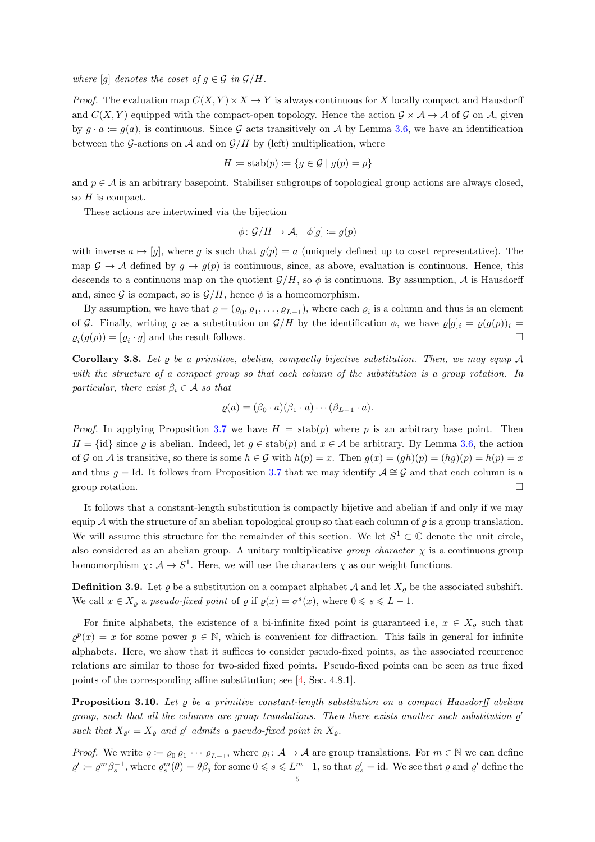where [q] denotes the coset of  $q \in \mathcal{G}$  in  $\mathcal{G}/H$ .

*Proof.* The evaluation map  $C(X, Y) \times X \to Y$  is always continuous for X locally compact and Hausdorff and  $C(X, Y)$  equipped with the compact-open topology. Hence the action  $\mathcal{G} \times \mathcal{A} \to \mathcal{A}$  of G on A, given by  $q \cdot a := q(a)$ , is continuous. Since G acts transitively on A by Lemma [3.6,](#page-3-1) we have an identification between the G-actions on A and on  $\mathcal{G}/H$  by (left) multiplication, where

$$
H := \operatorname{stab}(p) := \{ g \in \mathcal{G} \mid g(p) = p \}
$$

and  $p \in A$  is an arbitrary basepoint. Stabiliser subgroups of topological group actions are always closed, so  $H$  is compact.

These actions are intertwined via the bijection

$$
\phi \colon \mathcal{G}/H \to \mathcal{A}, \quad \phi[g] \coloneqq g(p)
$$

with inverse  $a \mapsto [g]$ , where g is such that  $g(p) = a$  (uniquely defined up to coset representative). The map  $\mathcal{G} \to \mathcal{A}$  defined by  $g \mapsto g(p)$  is continuous, since, as above, evaluation is continuous. Hence, this descends to a continuous map on the quotient  $\mathcal{G}/H$ , so  $\phi$  is continuous. By assumption, A is Hausdorff and, since G is compact, so is  $\mathcal{G}/H$ , hence  $\phi$  is a homeomorphism.

By assumption, we have that  $\varrho = (\varrho_0, \varrho_1, \dots, \varrho_{L-1})$ , where each  $\varrho_i$  is a column and thus is an element of G. Finally, writing  $\varrho$  as a substitution on  $\mathcal{G}/H$  by the identification  $\phi$ , we have  $\varrho[g]_i = \varrho(g(p))_i =$  $\varrho_i(g(p)) = [\varrho_i \cdot g]$  and the result follows.

Corollary 3.8. Let  $\rho$  be a primitive, abelian, compactly bijective substitution. Then, we may equip A with the structure of a compact group so that each column of the substitution is a group rotation. In particular, there exist  $\beta_i \in \mathcal{A}$  so that

$$
\varrho(a)=(\beta_0\cdot a)(\beta_1\cdot a)\cdots(\beta_{L-1}\cdot a).
$$

*Proof.* In applying Proposition [3.7](#page-3-2) we have  $H = \text{stab}(p)$  where p is an arbitrary base point. Then  $H = \{\text{id}\}\$  since  $\rho$  is abelian. Indeed, let  $q \in \text{stab}(p)$  and  $x \in \mathcal{A}$  be arbitrary. By Lemma [3.6,](#page-3-1) the action of G on A is transitive, so there is some  $h \in G$  with  $h(p) = x$ . Then  $q(x) = (gh)(p) = (hg)(p) = h(p) = x$ and thus  $q = Id$ . It follows from Proposition [3.7](#page-3-2) that we may identify  $\mathcal{A} \cong \mathcal{G}$  and that each column is a group rotation.  $\square$ 

It follows that a constant-length substitution is compactly bijetive and abelian if and only if we may equip A with the structure of an abelian topological group so that each column of  $\rho$  is a group translation. We will assume this structure for the remainder of this section. We let  $S^1 \subset \mathbb{C}$  denote the unit circle, also considered as an abelian group. A unitary multiplicative group character  $\chi$  is a continuous group homomorphism  $\chi: \mathcal{A} \to S^1$ . Here, we will use the characters  $\chi$  as our weight functions.

**Definition 3.9.** Let  $\varrho$  be a substitution on a compact alphabet A and let  $X_{\varrho}$  be the associated subshift. We call  $x \in X_{\varrho}$  a pseudo-fixed point of  $\varrho$  if  $\varrho(x) = \sigma^{s}(x)$ , where  $0 \le s \le L - 1$ .

For finite alphabets, the existence of a bi-infinite fixed point is guaranteed i.e,  $x \in X_\rho$  such that  $\varrho^p(x) = x$  for some power  $p \in \mathbb{N}$ , which is convenient for diffraction. This fails in general for infinite alphabets. Here, we show that it suffices to consider pseudo-fixed points, as the associated recurrence relations are similar to those for two-sided fixed points. Pseudo-fixed points can be seen as true fixed points of the corresponding affine substitution; see [\[4,](#page-12-13) Sec. 4.8.1].

<span id="page-4-0"></span>**Proposition 3.10.** Let  $\varrho$  be a primitive constant-length substitution on a compact Hausdorff abelian group, such that all the columns are group translations. Then there exists another such substitution  $\varrho'$ such that  $X_{\varrho'} = X_{\varrho}$  and  $\varrho'$  admits a pseudo-fixed point in  $X_{\varrho}$ .

*Proof.* We write  $\varrho := \varrho_0 \varrho_1 \cdots \varrho_{L-1}$ , where  $\varrho_i : A \to A$  are group translations. For  $m \in \mathbb{N}$  we can define  $\varrho' \coloneqq \varrho^m \beta_s^{-1}$ , where  $\varrho^m_s(\theta) = \theta \beta_j$  for some  $0 \le s \le L^m - 1$ , so that  $\varrho'_s = \text{id}$ . We see that  $\varrho$  and  $\varrho'$  define the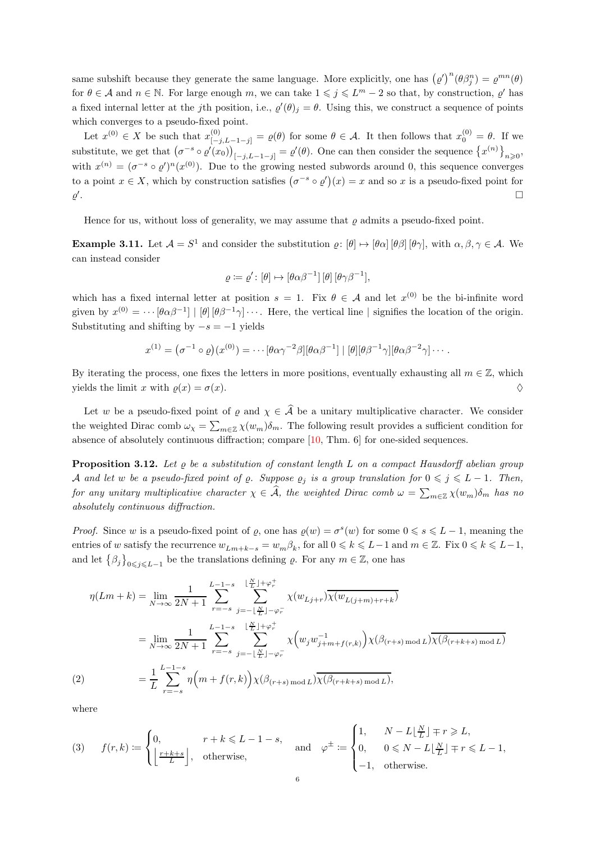same subshift because they generate the same language. More explicitly, one has  $(\varrho')^n(\theta\beta_j^n) = \varrho^{mn}(\theta)$ for  $\theta \in \mathcal{A}$  and  $n \in \mathbb{N}$ . For large enough m, we can take  $1 \leqslant j \leqslant L^m - 2$  so that, by construction,  $\varrho'$  has a fixed internal letter at the *j*th position, i.e.,  $\varrho'(\theta)_j = \theta$ . Using this, we construct a sequence of points which converges to a pseudo-fixed point.

Let  $x^{(0)} \in X$  be such that  $x^{(0)}_{[-j,L-1-j]} = \varrho(\theta)$  for some  $\theta \in \mathcal{A}$ . It then follows that  $x^{(0)}_0 = \theta$ . If we substitute, we get that  $(\sigma^{-s} \circ \varrho'(x_0))_{[-j,L-1-j]} = \varrho'(\theta)$ . One can then consider the sequence  $\{x^{(n)}\}_{n\geqslant 0}$ , with  $x^{(n)} = (\sigma^{-s} \circ \varrho')^n (x^{(0)})$ . Due to the growing nested subwords around 0, this sequence converges to a point  $x \in X$ , which by construction satisfies  $(\sigma^{-s} \circ \rho')(x) = x$  and so x is a pseudo-fixed point for  $\varrho'$ . The contract of the contract of the contract of the contract of the contract of  $\Box$ 

Hence for us, without loss of generality, we may assume that  $\rho$  admits a pseudo-fixed point.

**Example 3.11.** Let  $\mathcal{A} = S^1$  and consider the substitution  $\varrho: [\theta] \mapsto [\theta \alpha] [\theta \beta] [\theta \gamma]$ , with  $\alpha, \beta, \gamma \in \mathcal{A}$ . We can instead consider

$$
\varrho := \varrho' \colon [\theta] \mapsto [\theta \alpha \beta^{-1}] [\theta] [\theta \gamma \beta^{-1}],
$$

which has a fixed internal letter at position  $s = 1$ . Fix  $\theta \in A$  and let  $x^{(0)}$  be the bi-infinite word given by  $x^{(0)} = \cdots [\theta \alpha \beta^{-1}] | [\theta] [\theta \beta^{-1} \gamma] \cdots$ . Here, the vertical line | signifies the location of the origin. Substituting and shifting by  $-s = -1$  yields

$$
x^{(1)} = (\sigma^{-1} \circ \varrho)(x^{(0)}) = \cdots [\theta \alpha \gamma^{-2} \beta][\theta \alpha \beta^{-1}] | [\theta] [\theta \beta^{-1} \gamma][\theta \alpha \beta^{-2} \gamma] \cdots.
$$

By iterating the process, one fixes the letters in more positions, eventually exhausting all  $m \in \mathbb{Z}$ , which yields the limit x with  $\rho(x) = \sigma(x)$ .

Let w be a pseudo-fixed point of  $\varrho$  and  $\chi \in \widehat{A}$  be a unitary multiplicative character. We consider the weighted Dirac comb  $\omega_{\chi} = \sum_{m \in \mathbb{Z}} \chi(w_m) \delta_m$ . The following result provides a sufficient condition for absence of absolutely continuous diffraction; compare [\[10,](#page-12-14) Thm. 6] for one-sided sequences.

<span id="page-5-1"></span>**Proposition 3.12.** Let  $\varrho$  be a substitution of constant length L on a compact Hausdorff abelian group A and let w be a pseudo-fixed point of  $\varrho$ . Suppose  $\varrho_j$  is a group translation for  $0 \leq j \leq L-1$ . Then, for any unitary multiplicative character  $\chi \in \widehat{A}$ , the weighted Dirac comb  $\omega = \sum_{m \in \mathbb{Z}} \chi(w_m) \delta_m$  has no absolutely continuous diffraction.

*Proof.* Since w is a pseudo-fixed point of  $\varrho$ , one has  $\varrho(w) = \sigma^s(w)$  for some  $0 \le s \le L-1$ , meaning the entries of w satisfy the recurrence  $w_{Lm+k-s} = w_m \beta_k$ , for all  $0 \le k \le L-1$  and  $m \in \mathbb{Z}$ . Fix  $0 \le k \le L-1$ , and let  $\{\beta_j\}_{0\leq j\leq L-1}$  be the translations defining  $\varrho$ . For any  $m\in\mathbb{Z}$ , one has

$$
\eta(Lm+k) = \lim_{N \to \infty} \frac{1}{2N+1} \sum_{r=-s}^{L-1-s} \sum_{j=-\lfloor \frac{N}{L} \rfloor + \varphi_r^+}^{\lfloor \frac{N}{L} \rfloor + \varphi_r^+} \chi(w_{L(j+m)+r+k})
$$
  
\n
$$
= \lim_{N \to \infty} \frac{1}{2N+1} \sum_{r=-s}^{L-1-s} \sum_{j=-\lfloor \frac{N}{L} \rfloor - \varphi_r^-}^{\lfloor \frac{N}{L} \rfloor + \varphi_r^+} \chi\Big(w_j w_{j+m+f(r,k)}^{-1}\Big) \chi(\beta_{(r+s) \text{ mod } L}) \overline{\chi(\beta_{(r+k+s) \text{ mod } L})}
$$
  
\n
$$
= \frac{1}{L} \sum_{r=-s}^{L-1-s} \eta\Big(m+f(r,k)\Big) \chi(\beta_{(r+s) \text{ mod } L}) \overline{\chi(\beta_{(r+k+s) \text{ mod } L})},
$$

<span id="page-5-0"></span>where

$$
(3) \qquad f(r,k):=\begin{cases} 0,& r+k\leqslant L-1-s,\\ \left\lfloor\frac{r+k+s}{L}\right\rfloor, & \text{otherwise,} \end{cases}\qquad\text{and}\quad \varphi^\pm:=\begin{cases} 1,& N-L\lfloor\frac{N}{L}\rfloor\mp r\geqslant L,\\ 0,& 0\leqslant N-L\lfloor\frac{N}{L}\rfloor\mp r\leqslant L-1,\\ -1, & \text{otherwise.} \end{cases}
$$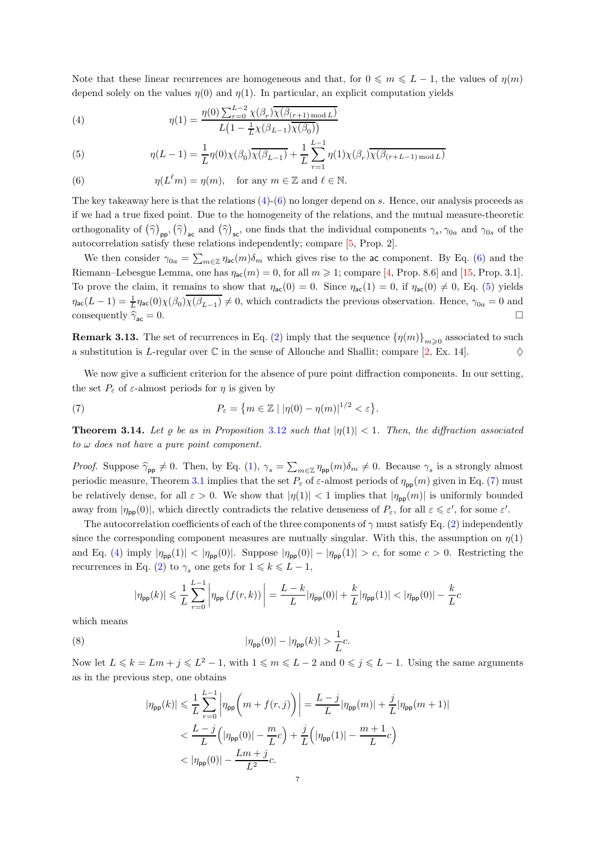Note that these linear recurrences are homogeneous and that, for  $0 \le m \le L - 1$ , the values of  $\eta(m)$ depend solely on the values  $\eta(0)$  and  $\eta(1)$ . In particular, an explicit computation yields

<span id="page-6-0"></span>(4) 
$$
\eta(1) = \frac{\eta(0) \sum_{r=0}^{L-2} \chi(\beta_r) \overline{\chi(\beta_{(r+1) \mod L})}}{L\left(1 - \frac{1}{L}\chi(\beta_{L-1})\overline{\chi(\beta_0)}\right)}
$$

<span id="page-6-2"></span>(5) 
$$
\eta(L-1) = \frac{1}{L} \eta(0) \chi(\beta_0) \overline{\chi(\beta_{L-1})} + \frac{1}{L} \sum_{r=1}^{L-1} \eta(1) \chi(\beta_r) \overline{\chi(\beta_{(r+L-1) \mod L})}
$$

<span id="page-6-1"></span>(6) 
$$
\eta(L^{\ell}m) = \eta(m), \quad \text{for any } m \in \mathbb{Z} \text{ and } \ell \in \mathbb{N}.
$$

The key takeaway here is that the relations  $(4)-(6)$  $(4)-(6)$  no longer depend on s. Hence, our analysis proceeds as if we had a true fixed point. Due to the homogeneity of the relations, and the mutual measure-theoretic orthogonality of  $(\hat{\gamma})_{\text{pp}}, (\hat{\gamma})_{\text{ac}}$  and  $(\hat{\gamma})_{\text{sc}}$ , one finds that the individual components  $\gamma_s, \gamma_{0a}$  and  $\gamma_{0s}$  of the autocorrelation satisfy these relations independently; compare [\[5,](#page-12-4) Prop. 2].

We then consider  $\gamma_{0a} = \sum_{m \in \mathbb{Z}} \eta_{ac}(m) \delta_m$  which gives rise to the ac component. By Eq. [\(6\)](#page-6-1) and the Riemann–Lebesgue Lemma, one has  $\eta_{ac}(m) = 0$ , for all  $m \ge 1$ ; compare [\[4,](#page-12-13) Prop. 8.6] and [\[15,](#page-12-6) Prop. 3.1]. To prove the claim, it remains to show that  $\eta_{ac}(0) = 0$ . Since  $\eta_{ac}(1) = 0$ , if  $\eta_{ac}(0) \neq 0$ , Eq. [\(5\)](#page-6-2) yields  $\eta_{ac}(L-1) = \frac{1}{L} \eta_{ac}(0) \chi(\beta_0) \overline{\chi(\beta_{L-1})} \neq 0$ , which contradicts the previous observation. Hence,  $\gamma_{0a} = 0$  and consequently  $\hat{\gamma}_{\text{ac}} = 0$ .

**Remark 3.13.** The set of recurrences in Eq. [\(2\)](#page-5-0) imply that the sequence  $\{\eta(m)\}_{m\geqslant0}$  associated to such a substitution is L-regular over  $\mathbb C$  in the sense of Allouche and Shallit; compare [\[2,](#page-12-15) Ex. 14].  $\Diamond$ 

We now give a sufficient criterion for the absence of pure point diffraction components. In our setting, the set  $P_{\varepsilon}$  of  $\varepsilon$ -almost periods for  $\eta$  is given by

<span id="page-6-3"></span>(7) 
$$
P_{\varepsilon} = \{ m \in \mathbb{Z} \mid |\eta(0) - \eta(m)|^{1/2} < \varepsilon \}.
$$

<span id="page-6-5"></span>**Theorem 3.14.** Let  $\varrho$  be as in Proposition [3.12](#page-5-1) such that  $|\eta(1)| < 1$ . Then, the diffraction associated  $to \omega$  does not have a pure point component.

*Proof.* Suppose  $\hat{\gamma}_{\text{pp}} \neq 0$ . Then, by Eq. [\(1\)](#page-2-1),  $\gamma_s = \sum_{m \in \mathbb{Z}} \eta_{\text{pp}}(m) \delta_m \neq 0$ . Because  $\gamma_s$  is a strongly almost periodic measure, Theorem [3.1](#page-3-0) implies that the set  $P_{\varepsilon}$  of  $\varepsilon$ -almost periods of  $\eta_{\text{pp}}(m)$  given in Eq. [\(7\)](#page-6-3) must be relatively dense, for all  $\varepsilon > 0$ . We show that  $|\eta(1)| < 1$  implies that  $|\eta_{\text{pp}}(m)|$  is uniformly bounded away from  $|\eta_{\text{pp}}(0)|$ , which directly contradicts the relative denseness of  $P_{\varepsilon}$ , for all  $\varepsilon \leq \varepsilon'$ , for some  $\varepsilon'$ .

The autocorrelation coefficients of each of the three components of  $\gamma$  must satisfy Eq. [\(2\)](#page-5-0) independently since the corresponding component measures are mutually singular. With this, the assumption on  $\eta(1)$ and Eq. [\(4\)](#page-6-0) imply  $|\eta_{\text{pp}}(1)| < |\eta_{\text{pp}}(0)|$ . Suppose  $|\eta_{\text{pp}}(0)| - |\eta_{\text{pp}}(1)| > c$ , for some  $c > 0$ . Restricting the recurrences in Eq. [\(2\)](#page-5-0) to  $\gamma_s$  one gets for  $1 \leq k \leq L-1$ ,

$$
|\eta_{\mathsf{pp}}(k)| \leqslant \frac{1}{L} \sum_{r=0}^{L-1} \left| \eta_{\mathsf{pp}}\left(f(r,k)\right) \right| = \frac{L-k}{L} |\eta_{\mathsf{pp}}(0)| + \frac{k}{L} |\eta_{\mathsf{pp}}(1)| < |\eta_{\mathsf{pp}}(0)| - \frac{k}{L}c
$$

which means

(8) 
$$
|\eta_{\mathsf{pp}}(0)| - |\eta_{\mathsf{pp}}(k)| > \frac{1}{L}c.
$$

Now let  $L \leq k = Lm + j \leq L^2 - 1$ , with  $1 \leq m \leq L - 2$  and  $0 \leq j \leq L - 1$ . Using the same arguments as in the previous step, one obtains

<span id="page-6-4"></span>
$$
\begin{split} |\eta_{\mathsf{pp}}(k)| &\leqslant \frac{1}{L}\sum_{r=0}^{L-1} \left|\eta_{\mathsf{pp}}\bigg(m+f(r,j)\bigg)\right| = \frac{L-j}{L}|\eta_{\mathsf{pp}}(m)| + \frac{j}{L}|\eta_{\mathsf{pp}}(m+1)| \\ &< \frac{L-j}{L}\Big(|\eta_{\mathsf{pp}}(0)| - \frac{m}{L}c\Big) + \frac{j}{L}\Big(|\eta_{\mathsf{pp}}(1)| - \frac{m+1}{L}c\Big) \\ &< |\eta_{\mathsf{pp}}(0)| - \frac{Lm+j}{L^2}c. \end{split}
$$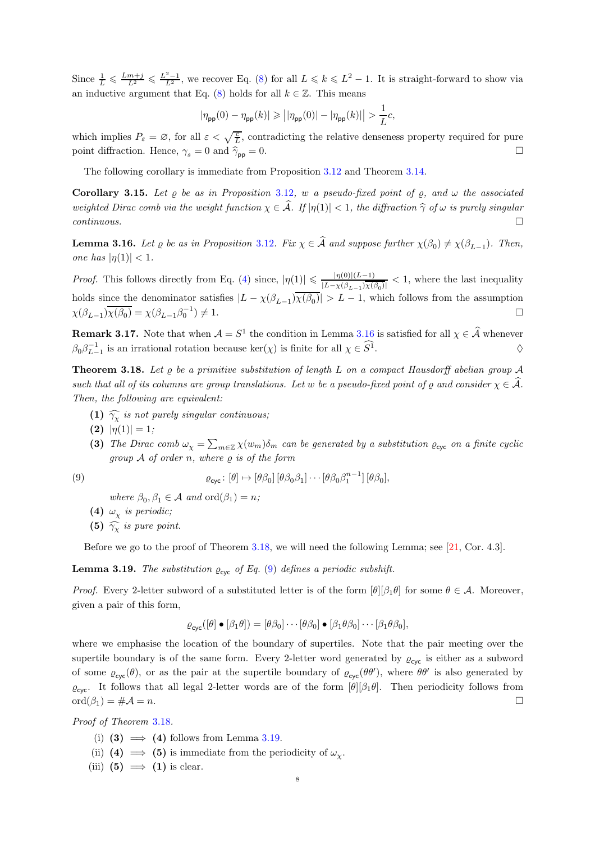Since  $\frac{1}{L} \leq \frac{Lm+j}{L^2} \leq \frac{L^2-1}{L^2}$ , we recover Eq. [\(8\)](#page-6-4) for all  $L \leq k \leq L^2-1$ . It is straight-forward to show via an inductive argument that Eq. [\(8\)](#page-6-4) holds for all  $k \in \mathbb{Z}$ . This means

$$
\left|\eta_{\text{pp}}(0)-\eta_{\text{pp}}(k)\right|\geqslant\left|\left|\eta_{\text{pp}}(0)\right|-\left|\eta_{\text{pp}}(k)\right|\right|>\frac{1}{L}c,
$$

which implies  $P_{\varepsilon} = \varnothing$ , for all  $\varepsilon < \sqrt{\frac{c}{L}}$ , contradicting the relative denseness property required for pure point diffraction. Hence,  $\gamma_s = 0$  and  $\hat{\gamma}_{\text{pp}} = 0$ .

The following corollary is immediate from Proposition [3.12](#page-5-1) and Theorem [3.14.](#page-6-5)

Corollary 3.15. Let  $\rho$  be as in Proposition [3.12](#page-5-1), w a pseudo-fixed point of  $\rho$ , and  $\omega$  the associated weighted Dirac comb via the weight function  $\chi \in \hat{\mathcal{A}}$ . If  $|\eta(1)| < 1$ , the diffraction  $\hat{\gamma}$  of  $\omega$  is purely singular continuous.  $continuous.$ 

<span id="page-7-1"></span>**Lemma 3.16.** Let  $\varrho$  be as in Proposition [3.12](#page-5-1). Fix  $\chi \in A$  and suppose further  $\chi(\beta_0) \neq \chi(\beta_{L-1})$ . Then, one has  $|\eta(1)| < 1$ .

*Proof.* This follows directly from Eq. [\(4\)](#page-6-0) since,  $|\eta(1)| \leq \frac{|\eta(0)| (L-1)}{|L - \chi(\beta_{r-1}) \overline{\chi}(t)}$  $\frac{|\eta(0)| (L-1)}{|L-\chi(\beta_{L-1})\overline{\chi(\beta_0)}|} < 1$ , where the last inequality holds since the denominator satisfies  $|L - \chi(\beta_{L-1})\chi(\beta_0)| > L - 1$ , which follows from the assumption  $\chi(\beta_{L-1})\overline{\chi(\beta_0)} = \chi(\beta_{L-1}\beta_0^{-1})$  $) \neq 1.$ 

**Remark 3.17.** Note that when  $A = S^1$  the condition in Lemma [3.16](#page-7-1) is satisfied for all  $\chi \in \hat{A}$  whenever  $\beta_0 \beta_{L-1}^{-1}$  is an irrational rotation because ker( $\chi$ ) is finite for all  $\chi \in S^1$ .

<span id="page-7-0"></span>**Theorem 3.18.** Let  $\varrho$  be a primitive substitution of length L on a compact Hausdorff abelian group A such that all of its columns are group translations. Let w be a pseudo-fixed point of  $\varrho$  and consider  $\chi \in \mathcal{A}$ . Then, the following are equivalent:

- (1)  $\widehat{\gamma_{\chi}}$  is not purely singular continuous;
- (2)  $|\eta(1)| = 1;$
- (3) The Dirac comb  $\omega_{\chi} = \sum_{m \in \mathbb{Z}} \chi(w_m) \delta_m$  can be generated by a substitution  $\varrho_{\text{cyc}}$  on a finite cyclic group  $\mathcal A$  of order n, where  $\rho$  is of the form

(9) 
$$
\varrho_{\text{cyc}}: [\theta] \mapsto [\theta \beta_0] [\theta \beta_0 \beta_1] \cdots [\theta \beta_0 \beta_1^{n-1}] [\theta \beta_0],
$$

<span id="page-7-2"></span>where  $\beta_0, \beta_1 \in \mathcal{A}$  and  $\text{ord}(\beta_1) = n$ ;

- (4)  $\omega_{\chi}$  is periodic;
- (5)  $\widehat{\gamma_{\chi}}$  is pure point.

Before we go to the proof of Theorem [3.18,](#page-7-0) we will need the following Lemma; see [\[21,](#page-13-9) Cor. 4.3].

<span id="page-7-3"></span>**Lemma 3.19.** The substitution  $\varrho_{\text{cyc}}$  of Eq. [\(9\)](#page-7-2) defines a periodic subshift.

*Proof.* Every 2-letter subword of a substituted letter is of the form  $[\theta][\beta_1\theta]$  for some  $\theta \in \mathcal{A}$ . Moreover, given a pair of this form,

$$
\varrho_{\mathsf{cyc}}([\theta] \bullet [\beta_1 \theta]) = [\theta \beta_0] \cdots [\theta \beta_0] \bullet [\beta_1 \theta \beta_0] \cdots [\beta_1 \theta \beta_0],
$$

where we emphasise the location of the boundary of supertiles. Note that the pair meeting over the supertile boundary is of the same form. Every 2-letter word generated by  $\varrho_{\text{cyc}}$  is either as a subword of some  $\varrho_{\text{cyc}}(\theta)$ , or as the pair at the supertile boundary of  $\varrho_{\text{cyc}}(\theta\theta')$ , where  $\theta\theta'$  is also generated by  $\varrho_{\text{cyc}}$ . It follows that all legal 2-letter words are of the form  $[\theta][\beta_1\theta]$ . Then periodicity follows from  $\mathrm{ord}(\beta_1) = \# \mathcal{A} = n.$ 

Proof of Theorem [3.18](#page-7-0).

- (i) (3)  $\implies$  (4) follows from Lemma [3.19.](#page-7-3)
- (ii) (4)  $\implies$  (5) is immediate from the periodicity of  $\omega_{\chi}$ .
- (iii) (5)  $\implies$  (1) is clear.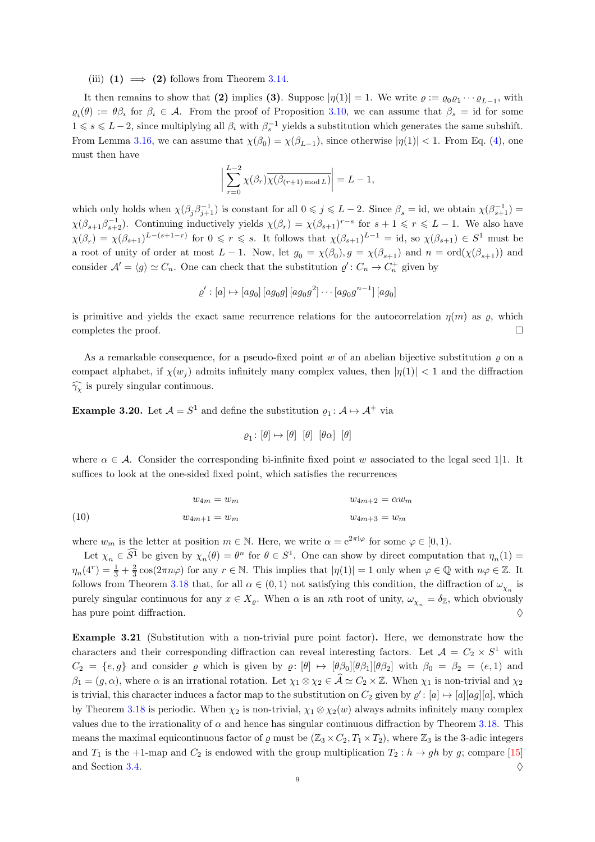(iii)  $(1) \implies (2)$  follows from Theorem [3.14.](#page-6-5)

It then remains to show that (2) implies (3). Suppose  $|\eta(1)| = 1$ . We write  $\varrho := \varrho_0 \varrho_1 \cdots \varrho_{L-1}$ , with  $\varrho_i(\theta) := \theta \beta_i$  for  $\beta_i \in \mathcal{A}$ . From the proof of Proposition [3.10,](#page-4-0) we can assume that  $\beta_s = id$  for some  $1 \le s \le L-2$ , since multiplying all  $\beta_i$  with  $\beta_s^{-1}$  yields a substitution which generates the same subshift. From Lemma [3.16,](#page-7-1) we can assume that  $\chi(\beta_0) = \chi(\beta_{L-1})$ , since otherwise  $|\eta(1)| < 1$ . From Eq. [\(4\)](#page-6-0), one must then have

$$
\left| \sum_{r=0}^{L-2} \chi(\beta_r) \overline{\chi(\beta_{(r+1) \bmod L})} \right| = L - 1,
$$

which only holds when  $\chi(\beta_j \beta_{j+1}^{-1})$  is constant for all  $0 \leq j \leq L-2$ . Since  $\beta_s = id$ , we obtain  $\chi(\beta_{s+1}^{-1}) =$  $\chi(\beta_{s+1}\beta_{s+2}^{-1})$ . Continuing inductively yields  $\chi(\beta_r) = \chi(\beta_{s+1})^{r-s}$  for  $s+1 \leq r \leq L-1$ . We also have  $\chi(\beta_r) = \chi(\beta_{s+1})^{L-(s+1-r)}$  for  $0 \leq r \leq s$ . It follows that  $\chi(\beta_{s+1})^{L-1} = id$ , so  $\chi(\beta_{s+1}) \in S^1$  must be a root of unity of order at most  $L-1$ . Now, let  $g_0 = \chi(\beta_0)$ ,  $g = \chi(\beta_{s+1})$  and  $n = \text{ord}(\chi(\beta_{s+1}))$  and consider  $\mathcal{A}' = \langle g \rangle \simeq C_n$ . One can check that the substitution  $\varrho' : C_n \to C_n^+$  given by

$$
\varrho': [a] \mapsto [ag_0] [ag_0g] [ag_0g^2] \cdots [ag_0g^{n-1}] [ag_0]
$$

is primitive and yields the exact same recurrence relations for the autocorrelation  $\eta(m)$  as  $\rho$ , which completes the proof.  $\Box$ 

As a remarkable consequence, for a pseudo-fixed point w of an abelian bijective substitution  $\rho$  on a compact alphabet, if  $\chi(w_i)$  admits infinitely many complex values, then  $|\eta(1)| < 1$  and the diffraction  $\widehat{\gamma_{\chi}}$  is purely singular continuous.

**Example 3.20.** Let  $\mathcal{A} = S^1$  and define the substitution  $\varrho_1 : \mathcal{A} \mapsto \mathcal{A}^+$  via

$$
\varrho_1 \colon [\theta] \mapsto [\theta] [\theta] [\theta \alpha] [\theta]
$$

where  $\alpha \in \mathcal{A}$ . Consider the corresponding bi-infinite fixed point w associated to the legal seed 1|1. It suffices to look at the one-sided fixed point, which satisfies the recurrences

$$
w_{4m} = w_m \qquad \qquad w_{4m+2} = \alpha w_m
$$
  
(10) 
$$
w_{4m+1} = w_m \qquad \qquad w_{4m+3} = w_m
$$

where  $w_m$  is the letter at position  $m \in \mathbb{N}$ . Here, we write  $\alpha = e^{2\pi i \varphi}$  for some  $\varphi \in [0,1)$ .

Let  $\chi_n \in S^1$  be given by  $\chi_n(\theta) = \theta^n$  for  $\theta \in S^1$ . One can show by direct computation that  $\eta_n(1) =$  $\eta_n(4^r) = \frac{1}{3} + \frac{2}{3}\cos(2\pi n\varphi)$  for any  $r \in \mathbb{N}$ . This implies that  $|\eta(1)| = 1$  only when  $\varphi \in \mathbb{Q}$  with  $n\varphi \in \mathbb{Z}$ . It follows from Theorem [3.18](#page-7-0) that, for all  $\alpha \in (0,1)$  not satisfying this condition, the diffraction of  $\omega_{\chi_n}$  is purely singular continuous for any  $x \in X_{\varrho}$ . When  $\alpha$  is an nth root of unity,  $\omega_{\chi_n} = \delta_{\mathbb{Z}}$ , which obviously has pure point diffraction.  $\Diamond$ 

Example 3.21 (Substitution with a non-trivial pure point factor). Here, we demonstrate how the characters and their corresponding diffraction can reveal interesting factors. Let  $A = C_2 \times S^1$  with  $C_2 = \{e, g\}$  and consider  $\varrho$  which is given by  $\varrho: [\theta] \mapsto [\theta \beta_0][\theta \beta_1][\theta \beta_2]$  with  $\beta_0 = \beta_2 = (e, 1)$  and  $\beta_1 = (g, \alpha)$ , where  $\alpha$  is an irrational rotation. Let  $\chi_1 \otimes \chi_2 \in \widehat{A} \simeq C_2 \times \mathbb{Z}$ . When  $\chi_1$  is non-trivial and  $\chi_2$ is trivial, this character induces a factor map to the substitution on  $C_2$  given by  $\varrho' : [a] \mapsto [a][ag][a]$ , which by Theorem [3.18](#page-7-0) is periodic. When  $\chi_2$  is non-trivial,  $\chi_1 \otimes \chi_2(w)$  always admits infinitely many complex values due to the irrationality of  $\alpha$  and hence has singular continuous diffraction by Theorem [3.18.](#page-7-0) This means the maximal equicontinuous factor of  $\varrho$  must be  $(\mathbb{Z}_3 \times C_2, T_1 \times T_2)$ , where  $\mathbb{Z}_3$  is the 3-adic integers and  $T_1$  is the +1-map and  $C_2$  is endowed with the group multiplication  $T_2 : h \to gh$  by g; compare [\[15\]](#page-12-6) and Section [3.4.](#page-10-0)  $\Diamond$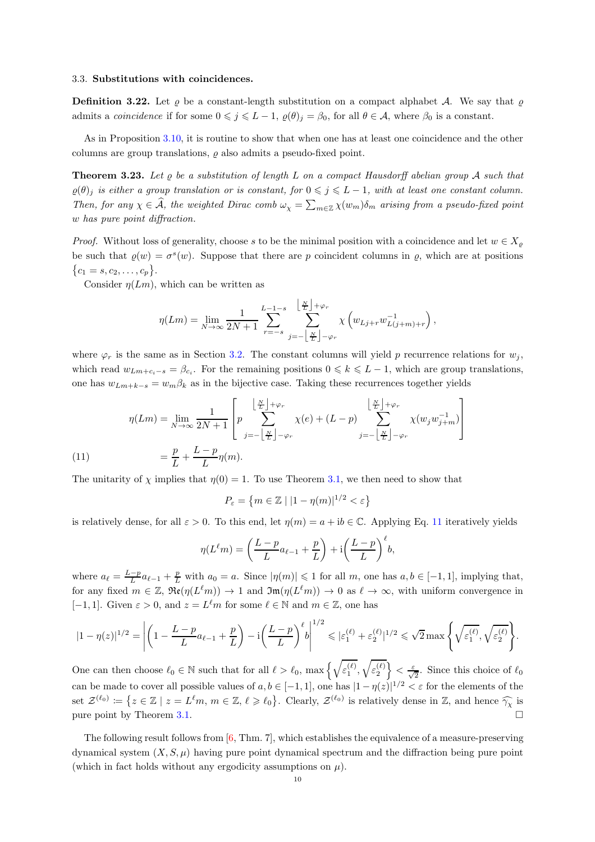## 3.3. Substitutions with coincidences.

**Definition 3.22.** Let  $\varrho$  be a constant-length substitution on a compact alphabet A. We say that  $\varrho$ admits a *coincidence* if for some  $0 \leq j \leq L-1$ ,  $\varrho(\theta)_j = \beta_0$ , for all  $\theta \in \mathcal{A}$ , where  $\beta_0$  is a constant.

As in Proposition [3.10,](#page-4-0) it is routine to show that when one has at least one coincidence and the other columns are group translations,  $\rho$  also admits a pseudo-fixed point.

<span id="page-9-0"></span>**Theorem 3.23.** Let  $\varrho$  be a substitution of length L on a compact Hausdorff abelian group A such that  $\varrho(\theta)$  is either a group translation or is constant, for  $0 \leq j \leq L-1$ , with at least one constant column. Then, for any  $\chi \in \widehat{A}$ , the weighted Dirac comb  $\omega_{\chi} = \sum_{m \in \mathbb{Z}} \chi(w_m) \delta_m$  arising from a pseudo-fixed point w has pure point diffraction.

*Proof.* Without loss of generality, choose s to be the minimal position with a coincidence and let  $w \in X_{\rho}$ be such that  $\varrho(w) = \sigma^{s}(w)$ . Suppose that there are p coincident columns in  $\varrho$ , which are at positions  ${c_1 = s, c_2, \ldots, c_p}.$ 

Consider  $\eta(Lm)$ , which can be written as

$$
\eta(Lm) = \lim_{N \to \infty} \frac{1}{2N+1} \sum_{r=-s}^{L-1-s} \sum_{j=-\left\lfloor \frac{N}{L} \right\rfloor - \varphi_r}^{\left\lfloor \frac{N}{L} \right\rfloor + \varphi_r} \chi \left( w_{Lj+r} w_{L(j+m)+r}^{-1} \right),
$$

where  $\varphi_r$  is the same as in Section [3.2.](#page-3-3) The constant columns will yield p recurrence relations for  $w_j$ , which read  $w_{Lm+c_i-s} = \beta_{c_i}$ . For the remaining positions  $0 \le k \le L-1$ , which are group translations, one has  $w_{Lm+k-s} = w_m \beta_k$  as in the bijective case. Taking these recurrences together yields

(11) 
$$
\eta(Lm) = \lim_{N \to \infty} \frac{1}{2N+1} \left[ p \sum_{j=-\left\lfloor \frac{N}{L} \right\rfloor - \varphi_r}^{\left\lfloor \frac{N}{L} \right\rfloor + \varphi_r} \chi(e) + (L-p) \sum_{j=-\left\lfloor \frac{N}{L} \right\rfloor - \varphi_r}^{\left\lfloor \frac{N}{L} \right\rfloor + \varphi_r} \chi(w_j w_{j+m}^{-1}) \right]
$$

$$
= \frac{p}{L} + \frac{L-p}{L} \eta(m).
$$

<span id="page-9-1"></span>The unitarity of  $\chi$  implies that  $\eta(0) = 1$ . To use Theorem [3.1,](#page-3-0) we then need to show that

$$
P_{\varepsilon} = \left\{ m \in \mathbb{Z} \mid |1 - \eta(m)|^{1/2} < \varepsilon \right\}
$$

is relatively dense, for all  $\varepsilon > 0$ . To this end, let  $\eta(m) = a + ib \in \mathbb{C}$ . Applying Eq. [11](#page-9-1) iteratively yields

$$
\eta(L^{\ell}m) = \left(\frac{L-p}{L}a_{\ell-1} + \frac{p}{L}\right) + i\left(\frac{L-p}{L}\right)^{\ell}b,
$$

where  $a_{\ell} = \frac{L-p}{L} a_{\ell-1} + \frac{p}{L}$  with  $a_0 = a$ . Since  $|\eta(m)| \leq 1$  for all m, one has  $a, b \in [-1, 1]$ , implying that, for any fixed  $m \in \mathbb{Z}$ ,  $\Re(\eta(L^{\ell}m)) \to 1$  and  $\Im(\eta(L^{\ell}m)) \to 0$  as  $\ell \to \infty$ , with uniform convergence in [-1, 1]. Given  $\varepsilon > 0$ , and  $z = L^{\ell}m$  for some  $\ell \in \mathbb{N}$  and  $m \in \mathbb{Z}$ , one has

$$
|1-\eta(z)|^{1/2} = \left| \left(1 - \frac{L-p}{L}a_{\ell-1} + \frac{p}{L}\right) - i\left(\frac{L-p}{L}\right)^{\ell}b\right|^{1/2} \leqslant |\varepsilon_1^{(\ell)} + \varepsilon_2^{(\ell)}|^{1/2} \leqslant \sqrt{2} \max\Bigg\{\sqrt{\varepsilon_1^{(\ell)}}, \sqrt{\varepsilon_2^{(\ell)}}\Bigg\}.
$$

One can then choose  $\ell_0 \in \mathbb{N}$  such that for all  $\ell > \ell_0$ ,  $\max\left\{\sqrt{\varepsilon_1^{(\ell)}}, \sqrt{\varepsilon_2^{(\ell)}}\right\} < \frac{\varepsilon}{\sqrt{2}}$ . Since this choice of  $\ell_0$ can be made to cover all possible values of  $a, b \in [-1, 1]$ , one has  $|1 - \eta(z)|^{1/2} < \varepsilon$  for the elements of the set  $\mathcal{Z}^{(\ell_0)} := \{ z \in \mathbb{Z} \mid z = L^{\ell}m, m \in \mathbb{Z}, \ell \geq \ell_0 \}.$  Clearly,  $\mathcal{Z}^{(\ell_0)}$  is relatively dense in  $\mathbb{Z}$ , and hence  $\widehat{\gamma_\chi}$  is pure point by Theorem [3.1.](#page-3-0)

The following result follows from [\[6,](#page-12-2) Thm. 7], which establishes the equivalence of a measure-preserving dynamical system  $(X, S, \mu)$  having pure point dynamical spectrum and the diffraction being pure point (which in fact holds without any ergodicity assumptions on  $\mu$ ).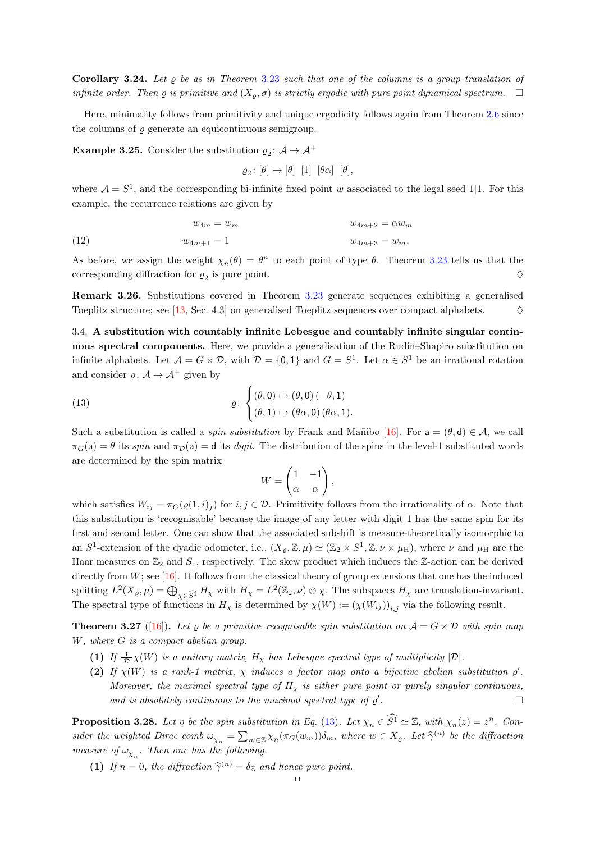**Corollary 3.24.** Let  $\rho$  be as in Theorem [3.23](#page-9-0) such that one of the columns is a group translation of infinite order. Then  $\varrho$  is primitive and  $(X_{\rho}, \sigma)$  is strictly ergodic with pure point dynamical spectrum.  $\Box$ 

Here, minimality follows from primitivity and unique ergodicity follows again from Theorem [2.6](#page-2-2) since the columns of  $\rho$  generate an equicontinuous semigroup.

**Example 3.25.** Consider the substitution  $\varrho_2: A \to A^+$ 

$$
\varrho_2\colon[\theta]\mapsto[\theta]\ \ [1]\ \ [\theta\alpha]\ \ [\theta],
$$

where  $A = S<sup>1</sup>$ , and the corresponding bi-infinite fixed point w associated to the legal seed 1|1. For this example, the recurrence relations are given by

$$
w_{4m} = w_m \qquad \qquad w_{4m+2} = \alpha w_m
$$
\n
$$
(12) \qquad \qquad w_{4m+1} = 1 \qquad \qquad w_{4m+3} = w_m.
$$

As before, we assign the weight  $\chi_n(\theta) = \theta^n$  to each point of type  $\theta$ . Theorem [3.23](#page-9-0) tells us that the corresponding diffraction for  $\varrho_2$  is pure point.

Remark 3.26. Substitutions covered in Theorem [3.23](#page-9-0) generate sequences exhibiting a generalised Toeplitz structure; see [\[13,](#page-12-16) Sec. 4.3] on generalised Toeplitz sequences over compact alphabets.  $\Diamond$ 

<span id="page-10-0"></span>3.4. A substitution with countably infinite Lebesgue and countably infinite singular continuous spectral components. Here, we provide a generalisation of the Rudin–Shapiro substitution on infinite alphabets. Let  $\mathcal{A} = G \times \mathcal{D}$ , with  $\mathcal{D} = \{0,1\}$  and  $G = S^1$ . Let  $\alpha \in S^1$  be an irrational rotation and consider  $\rho: \mathcal{A} \to \mathcal{A}^+$  given by

(13) 
$$
\varrho: \begin{cases} (\theta,0) \mapsto (\theta,0) \, (-\theta,1) \\ (\theta,1) \mapsto (\theta\alpha,0) \, (\theta\alpha,1). \end{cases}
$$

Such a substitution is called a *spin substitution* by Frank and Mañibo [\[16\]](#page-12-9). For  $a = (\theta, d) \in A$ , we call  $\pi_G(\mathsf{a}) = \theta$  its spin and  $\pi_D(\mathsf{a}) = \mathsf{d}$  its digit. The distribution of the spins in the level-1 substituted words are determined by the spin matrix

<span id="page-10-1"></span>
$$
W = \begin{pmatrix} 1 & -1 \\ \alpha & \alpha \end{pmatrix},
$$

which satisfies  $W_{ij} = \pi_G(\varrho(1,i)_j)$  for  $i, j \in \mathcal{D}$ . Primitivity follows from the irrationality of  $\alpha$ . Note that this substitution is 'recognisable' because the image of any letter with digit 1 has the same spin for its first and second letter. One can show that the associated subshift is measure-theoretically isomorphic to an  $S^1$ -extension of the dyadic odometer, i.e.,  $(X_{\varrho}, \mathbb{Z}, \mu) \simeq (\mathbb{Z}_2 \times S^1, \mathbb{Z}, \nu \times \mu_H)$ , where  $\nu$  and  $\mu_H$  are the Haar measures on  $\mathbb{Z}_2$  and  $S_1$ , respectively. The skew product which induces the  $\mathbb{Z}$ -action can be derived directly from  $W$ ; see  $[16]$ . It follows from the classical theory of group extensions that one has the induced splitting  $L^2(X_{\varrho}, \mu) = \bigoplus_{\chi \in \widehat{S^1}} H_{\chi}$  with  $H_{\chi} = L^2(\mathbb{Z}_2, \nu) \otimes \chi$ . The subspaces  $H_{\chi}$  are translation-invariant. The spectral type of functions in  $H_\chi$  is determined by  $\chi(W) := (\chi(W_{ij}))_{i,j}$  via the following result.

<span id="page-10-2"></span>**Theorem 3.27** ([\[16\]](#page-12-9)). Let  $\varrho$  be a primitive recognisable spin substitution on  $\mathcal{A} = G \times \mathcal{D}$  with spin map W, where G is a compact abelian group.

- (1) If  $\frac{1}{|D|}\chi(W)$  is a unitary matrix,  $H_{\chi}$  has Lebesgue spectral type of multiplicity  $|D|$ .
- (2) If  $\chi(W)$  is a rank-1 matrix,  $\chi$  induces a factor map onto a bijective abelian substitution  $\varrho'$ . Moreover, the maximal spectral type of  $H<sub>X</sub>$  is either pure point or purely singular continuous, and is absolutely continuous to the maximal spectral type of  $\varrho'$ . — Процессиональные производствование и производствование и производствование и производствование и производст<br>В 1990 году в 1990 году в 1990 году в 1990 году в 1990 году в 1990 году в 1990 году в 1990 году в 1990 году в

<span id="page-10-3"></span>**Proposition 3.28.** Let  $\varrho$  be the spin substitution in Eq. [\(13\)](#page-10-1). Let  $\chi_n \in S^1 \simeq \mathbb{Z}$ , with  $\chi_n(z) = z^n$ . Consider the weighted Dirac comb  $\omega_{\chi_n} = \sum_{m \in \mathbb{Z}} \chi_n(\pi_G(w_m)) \delta_m$ , where  $w \in X_{\varrho}$ . Let  $\widehat{\gamma}^{(n)}$  be the diffraction measure of  $\omega_{\chi_n}$ . Then one has the following.

(1) If  $n = 0$ , the diffraction  $\widehat{\gamma}^{(n)} = \delta_{\mathbb{Z}}$  and hence pure point.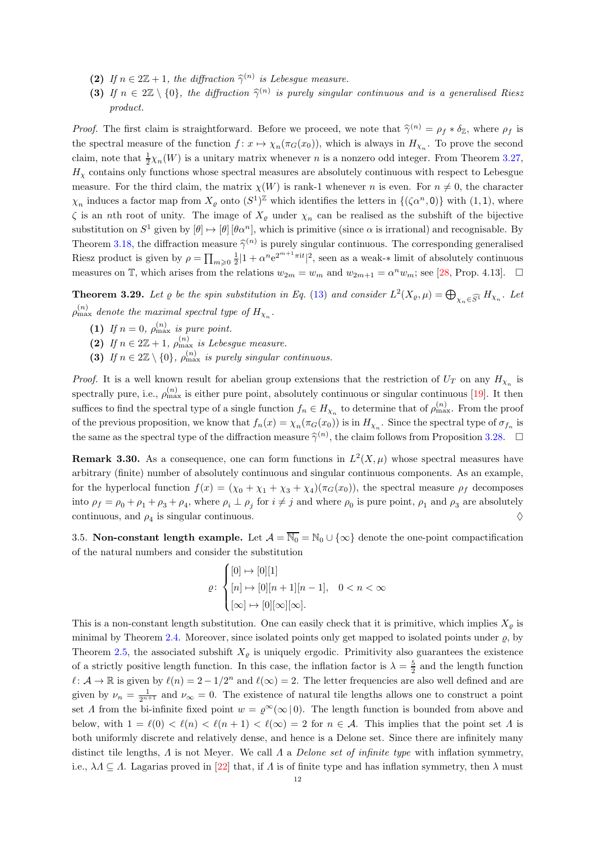- (2) If  $n \in 2\mathbb{Z}+1$ , the diffraction  $\widehat{\gamma}^{(n)}$  is Lebesgue measure.
- (3) If  $n \in 2\mathbb{Z} \setminus \{0\}$ , the diffraction  $\hat{\gamma}^{(n)}$  is purely singular continuous and is a generalised Riesz product.

*Proof.* The first claim is straightforward. Before we proceed, we note that  $\hat{\gamma}^{(n)} = \rho_f * \delta_{\mathbb{Z}}$ , where  $\rho_f$  is the spectral measure of the function  $f: x \mapsto \chi_n(\pi_G(x_0))$ , which is always in  $H_{\chi_n}$ . To prove the second claim, note that  $\frac{1}{2}\chi_n(W)$  is a unitary matrix whenever n is a nonzero odd integer. From Theorem [3.27,](#page-10-2)  $H<sub>x</sub>$  contains only functions whose spectral measures are absolutely continuous with respect to Lebesgue measure. For the third claim, the matrix  $\chi(W)$  is rank-1 whenever n is even. For  $n \neq 0$ , the character  $\chi_n$  induces a factor map from  $X_{\varrho}$  onto  $(S^1)^{\mathbb{Z}}$  which identifies the letters in  $\{(\zeta \alpha^n, 0)\}\$  with  $(1, 1)$ , where  $\zeta$  is an nth root of unity. The image of  $X_{\varrho}$  under  $\chi_n$  can be realised as the subshift of the bijective substitution on  $S^1$  given by  $[\theta] \mapsto [\theta] [\theta \alpha^n]$ , which is primitive (since  $\alpha$  is irrational) and recognisable. By Theorem [3.18,](#page-7-0) the diffraction measure  $\hat{\gamma}^{(n)}$  is purely singular continuous. The corresponding generalised Riesz product is given by  $\rho = \prod_{m\geqslant 0} \frac{1}{2} |1 + \alpha^n e^{2^{m+1} \pi i t}|^2$ , seen as a weak-\* limit of absolutely continuous measures on T, which arises from the relations  $w_{2m} = w_m$  and  $w_{2m+1} = \alpha^n w_m$ ; see [\[28,](#page-13-0) Prop. 4.13].  $\Box$ 

<span id="page-11-0"></span>**Theorem 3.29.** Let  $\varrho$  be the spin substitution in Eq. [\(13\)](#page-10-1) and consider  $L^2(X_{\varrho}, \mu) = \bigoplus_{\chi_n \in \widehat{S^1}} H_{\chi_n}$ . Let  $\rho^{(n)}_{\max}$  denote the maximal spectral type of  $H_{\chi_n}$ .

- (1) If  $n = 0$ ,  $\rho_{\text{max}}^{(n)}$  is pure point.
- (2) If  $n \in 2\mathbb{Z}+1$ ,  $\rho_{\max}^{(n)}$  is Lebesgue measure.
- (3) If  $n \in 2\mathbb{Z} \setminus \{0\}$ ,  $\rho_{\max}^{(n)}$  is purely singular continuous.

*Proof.* It is a well known result for abelian group extensions that the restriction of  $U_T$  on any  $H_{\chi_n}$  is spectrally pure, i.e.,  $\rho_{\max}^{(n)}$  is either pure point, absolutely continuous or singular continuous [\[19\]](#page-13-5). It then suffices to find the spectral type of a single function  $f_n \in H_{\chi_n}$  to determine that of  $\rho_{\max}^{(n)}$ . From the proof of the previous proposition, we know that  $f_n(x) = \chi_n(\pi_G(x_0))$  is in  $H_{\chi_n}$ . Since the spectral type of  $\sigma_{f_n}$  is the same as the spectral type of the diffraction measure  $\hat{\gamma}^{(n)}$ , the claim follows from Proposition [3.28.](#page-10-3)  $\Box$ 

**Remark 3.30.** As a consequence, one can form functions in  $L^2(X,\mu)$  whose spectral measures have arbitrary (finite) number of absolutely continuous and singular continuous components. As an example, for the hyperlocal function  $f(x) = (\chi_0 + \chi_1 + \chi_3 + \chi_4)(\pi_G(x_0))$ , the spectral measure  $\rho_f$  decomposes into  $\rho_f = \rho_0 + \rho_1 + \rho_3 + \rho_4$ , where  $\rho_i \perp \rho_j$  for  $i \neq j$  and where  $\rho_0$  is pure point,  $\rho_1$  and  $\rho_3$  are absolutely continuous, and  $\rho_4$  is singular continuous.  $\diamondsuit$ 

3.5. Non-constant length example. Let  $\mathcal{A} = \overline{\mathbb{N}_0} = \mathbb{N}_0 \cup \{\infty\}$  denote the one-point compactification of the natural numbers and consider the substitution

$$
\varrho\colon\begin{cases}[0]\mapsto [0][1]\\ [n]\mapsto [0][n+1][n-1], & 0
$$

This is a non-constant length substitution. One can easily check that it is primitive, which implies  $X_{\rho}$  is minimal by Theorem [2.4.](#page-2-0) Moreover, since isolated points only get mapped to isolated points under  $\varrho$ , by Theorem [2.5,](#page-2-3) the associated subshift  $X_{\rho}$  is uniquely ergodic. Primitivity also guarantees the existence of a strictly positive length function. In this case, the inflation factor is  $\lambda = \frac{5}{2}$  and the length function  $\ell \colon \mathcal{A} \to \mathbb{R}$  is given by  $\ell(n) = 2 - 1/2^n$  and  $\ell(\infty) = 2$ . The letter frequencies are also well defined and are given by  $\nu_n = \frac{1}{2^{n+1}}$  and  $\nu_\infty = 0$ . The existence of natural tile lengths allows one to construct a point set  $\Lambda$  from the bi-infinite fixed point  $w = \rho^{\infty}(\infty | 0)$ . The length function is bounded from above and below, with  $1 = \ell(0) < \ell(n) < \ell(n+1) < \ell(\infty) = 2$  for  $n \in \mathcal{A}$ . This implies that the point set  $\Lambda$  is both uniformly discrete and relatively dense, and hence is a Delone set. Since there are infinitely many distinct tile lengths,  $\Lambda$  is not Meyer. We call  $\Lambda$  a Delone set of infinite type with inflation symmetry, i.e.,  $\lambda A \subseteq A$ . Lagarias proved in [\[22\]](#page-13-6) that, if A is of finite type and has inflation symmetry, then  $\lambda$  must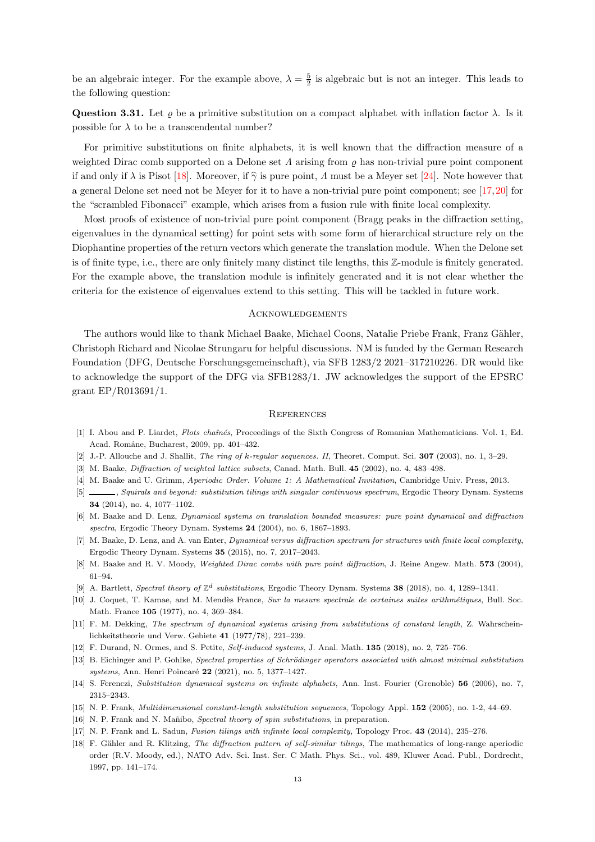be an algebraic integer. For the example above,  $\lambda = \frac{5}{2}$  is algebraic but is not an integer. This leads to the following question:

Question 3.31. Let *ρ* be a primitive substitution on a compact alphabet with inflation factor  $λ$ . Is it possible for  $\lambda$  to be a transcendental number?

For primitive substitutions on finite alphabets, it is well known that the diffraction measure of a weighted Dirac comb supported on a Delone set  $\Lambda$  arising from  $\rho$  has non-trivial pure point component if and only if  $\lambda$  is Pisot [\[18\]](#page-12-17). Moreover, if  $\hat{\gamma}$  is pure point,  $\Lambda$  must be a Meyer set [\[24\]](#page-13-10). Note however that a general Delone set need not be Meyer for it to have a non-trivial pure point component; see [\[17,](#page-12-10)[20\]](#page-13-11) for the "scrambled Fibonacci" example, which arises from a fusion rule with finite local complexity.

Most proofs of existence of non-trivial pure point component (Bragg peaks in the diffraction setting, eigenvalues in the dynamical setting) for point sets with some form of hierarchical structure rely on the Diophantine properties of the return vectors which generate the translation module. When the Delone set is of finite type, i.e., there are only finitely many distinct tile lengths, this Z-module is finitely generated. For the example above, the translation module is infinitely generated and it is not clear whether the criteria for the existence of eigenvalues extend to this setting. This will be tackled in future work.

# **ACKNOWLEDGEMENTS**

The authors would like to thank Michael Baake, Michael Coons, Natalie Priebe Frank, Franz Gähler, Christoph Richard and Nicolae Strungaru for helpful discussions. NM is funded by the German Research Foundation (DFG, Deutsche Forschungsgemeinschaft), via SFB 1283/2 2021–317210226. DR would like to acknowledge the support of the DFG via SFB1283/1. JW acknowledges the support of the EPSRC grant EP/R013691/1.

#### **REFERENCES**

- <span id="page-12-15"></span><span id="page-12-8"></span>[1] I. Abou and P. Liardet, Flots chaînés, Proceedings of the Sixth Congress of Romanian Mathematicians. Vol. 1, Ed. Acad. Romˆane, Bucharest, 2009, pp. 401–432.
- <span id="page-12-11"></span>[2] J.-P. Allouche and J. Shallit, The ring of k-regular sequences. II, Theoret. Comput. Sci.  $307$  (2003), no. 1, 3–29.
- <span id="page-12-13"></span>[3] M. Baake, *Diffraction of weighted lattice subsets*, Canad. Math. Bull. **45** (2002), no. 4, 483–498.
- <span id="page-12-4"></span>[4] M. Baake and U. Grimm, Aperiodic Order. Volume 1: A Mathematical Invitation, Cambridge Univ. Press, 2013.
- [5] , Squirals and beyond: substitution tilings with singular continuous spectrum, Ergodic Theory Dynam. Systems 34 (2014), no. 4, 1077–1102.
- <span id="page-12-2"></span>[6] M. Baake and D. Lenz, Dynamical systems on translation bounded measures: pure point dynamical and diffraction spectra, Ergodic Theory Dynam. Systems 24 (2004), no. 6, 1867–1893.
- <span id="page-12-3"></span>[7] M. Baake, D. Lenz, and A. van Enter, Dynamical versus diffraction spectrum for structures with finite local complexity, Ergodic Theory Dynam. Systems 35 (2015), no. 7, 2017–2043.
- <span id="page-12-12"></span><span id="page-12-5"></span>[8] M. Baake and R. V. Moody, Weighted Dirac combs with pure point diffraction, J. Reine Angew. Math. 573 (2004), 61–94.
- <span id="page-12-14"></span>[9] A. Bartlett, Spectral theory of  $\mathbb{Z}^d$  substitutions, Ergodic Theory Dynam. Systems 38 (2018), no. 4, 1289–1341.
- [10] J. Coquet, T. Kamae, and M. Mendès France, Sur la mesure spectrale de certaines suites arithmétiques, Bull. Soc. Math. France 105 (1977), no. 4, 369–384.
- <span id="page-12-7"></span>[11] F. M. Dekking, The spectrum of dynamical systems arising from substitutions of constant length, Z. Wahrscheinlichkeitstheorie und Verw. Gebiete 41 (1977/78), 221–239.
- <span id="page-12-16"></span><span id="page-12-0"></span>[12] F. Durand, N. Ormes, and S. Petite, Self-induced systems, J. Anal. Math. 135 (2018), no. 2, 725–756.
- [13] B. Eichinger and P. Gohlke, Spectral properties of Schrödinger operators associated with almost minimal substitution systems, Ann. Henri Poincaré 22 (2021), no. 5, 1377–1427.
- <span id="page-12-6"></span><span id="page-12-1"></span>[14] S. Ferenczi, Substitution dynamical systems on infinite alphabets, Ann. Inst. Fourier (Grenoble) 56 (2006), no. 7, 2315–2343.
- <span id="page-12-9"></span>[15] N. P. Frank, Multidimensional constant-length substitution sequences, Topology Appl. 152 (2005), no. 1-2, 44–69.
- <span id="page-12-10"></span>[16] N. P. Frank and N. Mañibo, Spectral theory of spin substitutions, in preparation.
- <span id="page-12-17"></span>[17] N. P. Frank and L. Sadun, Fusion tilings with infinite local complexity, Topology Proc. 43 (2014), 235–276.
- [18] F. Gähler and R. Klitzing, The diffraction pattern of self-similar tilings, The mathematics of long-range aperiodic order (R.V. Moody, ed.), NATO Adv. Sci. Inst. Ser. C Math. Phys. Sci., vol. 489, Kluwer Acad. Publ., Dordrecht, 1997, pp. 141–174.